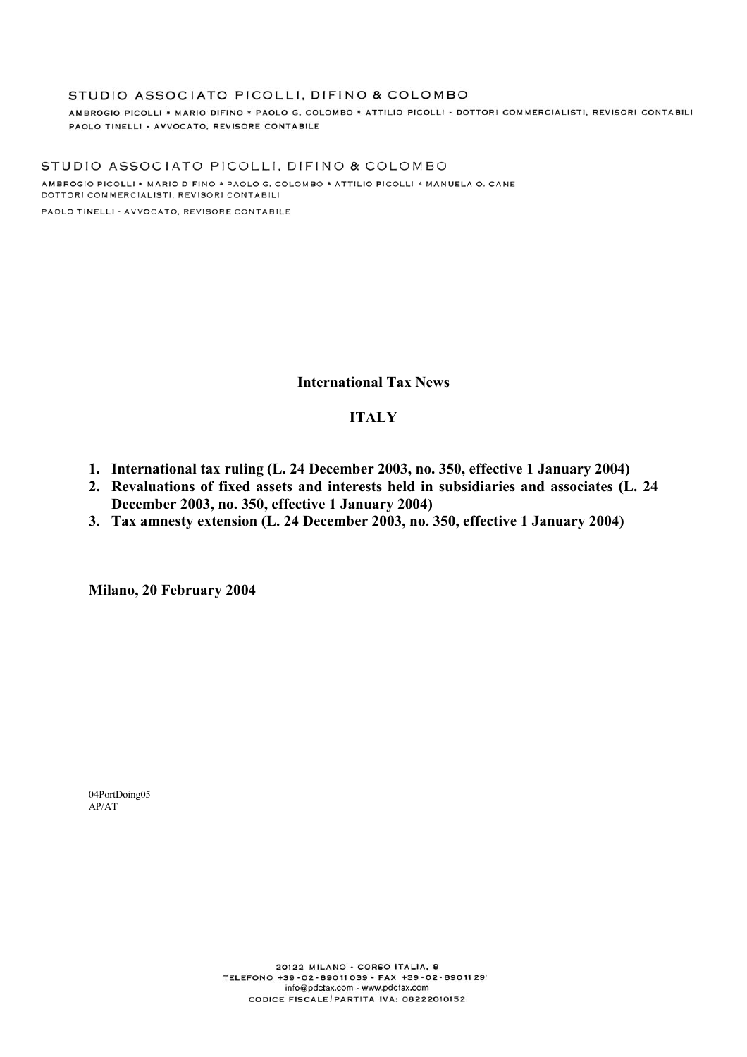#### STUDIO ASSOCIATO PICOLLI, DIFINO & COLOMBO

AMBROGIO PICOLLI \* MARIO DIFINO \* PAOLO G. COLOMBO \* ATTILIO PICOLLI - DOTTORI COMMERCIALISTI, REVISORI CONTABILI PAOLO TINELLI - AVVOCATO, REVISORE CONTABILE

STUDIO ASSOCIATO PICOLLI, DIFINO & COLOMBO AMBROGIO PICOLLI \* MARIO DIFINO \* PAOLO G. COLOMBO \* ATTILIO PICOLLI \* MANUELA O. CANE DOTTORI COMMERCIALISTI, REVISORI CONTABILI

PAOLO TINELLI - AVVOCATO, REVISORE CONTABILE

### **International Tax News**

### **ITALY**

- **1. International tax ruling (L. 24 December 2003, no. 350, effective 1 January 2004)**
- **2. Revaluations of fixed assets and interests held in subsidiaries and associates (L. 24 December 2003, no. 350, effective 1 January 2004)**
- **3. Tax amnesty extension (L. 24 December 2003, no. 350, effective 1 January 2004)**

**Milano, 20 February 2004** 

04PortDoing05 AP/AT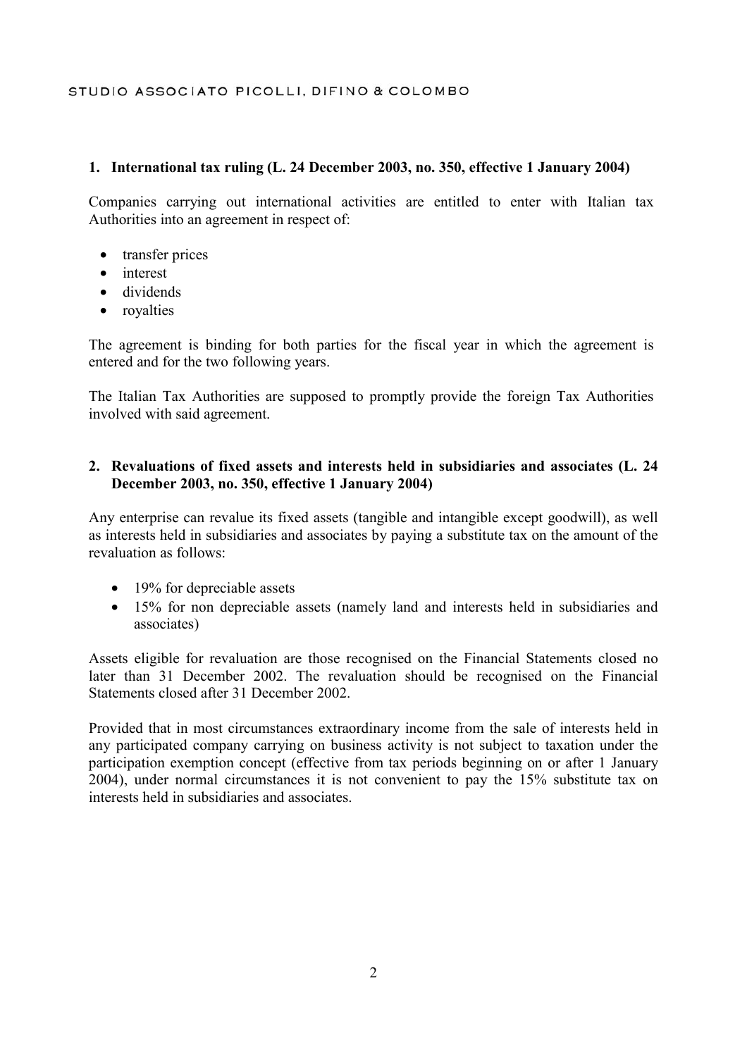## STUDIO ASSOCIATO PICOLLI, DIFINO & COLOMBO

### **1. International tax ruling (L. 24 December 2003, no. 350, effective 1 January 2004)**

Companies carrying out international activities are entitled to enter with Italian tax Authorities into an agreement in respect of:

- transfer prices
- interest
- dividends
- royalties

The agreement is binding for both parties for the fiscal year in which the agreement is entered and for the two following years.

The Italian Tax Authorities are supposed to promptly provide the foreign Tax Authorities involved with said agreement.

### **2. Revaluations of fixed assets and interests held in subsidiaries and associates (L. 24 December 2003, no. 350, effective 1 January 2004)**

Any enterprise can revalue its fixed assets (tangible and intangible except goodwill), as well as interests held in subsidiaries and associates by paying a substitute tax on the amount of the revaluation as follows:

- 19% for depreciable assets
- 15% for non depreciable assets (namely land and interests held in subsidiaries and associates)

Assets eligible for revaluation are those recognised on the Financial Statements closed no later than 31 December 2002. The revaluation should be recognised on the Financial Statements closed after 31 December 2002.

Provided that in most circumstances extraordinary income from the sale of interests held in any participated company carrying on business activity is not subject to taxation under the participation exemption concept (effective from tax periods beginning on or after 1 January 2004), under normal circumstances it is not convenient to pay the 15% substitute tax on interests held in subsidiaries and associates.